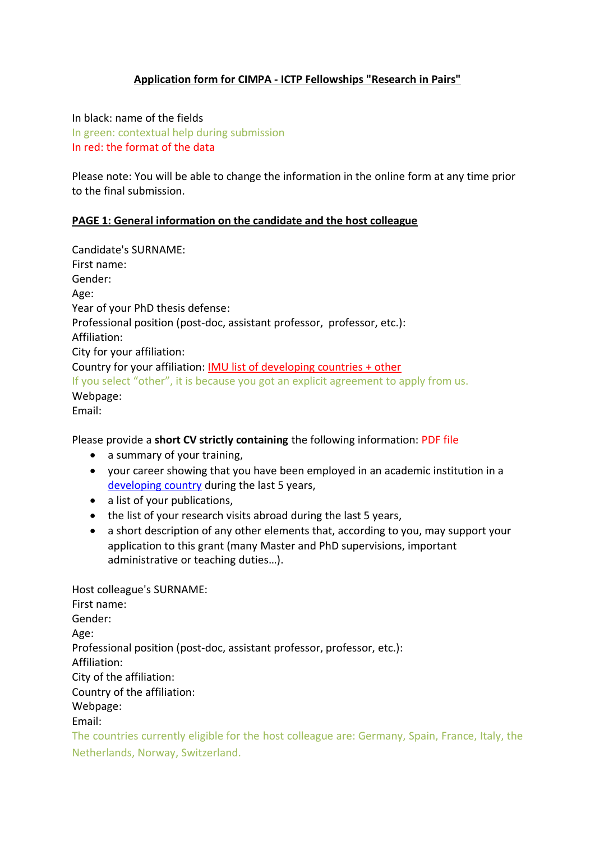## **Application form for CIMPA - ICTP Fellowships "Research in Pairs"**

In black: name of the fields In green: contextual help during submission In red: the format of the data

Please note: You will be able to change the information in the online form at any time prior to the final submission.

### **PAGE 1: General information on the candidate and the host colleague**

Candidate's SURNAME: First name: Gender: Age: Year of your PhD thesis defense: Professional position (post-doc, assistant professor, professor, etc.): Affiliation: City for your affiliation: Country for your affiliation: [IMU list of developing countries](https://www.mathunion.org/cdc/about-cdc/definition-developing-countries) + other If you select "other", it is because you got an explicit agreement to apply from us. Webpage: Email:

Please provide a **short CV strictly containing** the following information: PDF file

- a summary of your training,
- your career showing that you have been employed in an academic institution in a [developing country](https://www.mathunion.org/cdc/about-cdc/definition-developing-countries) during the last 5 years,
- a list of your publications,
- the list of your research visits abroad during the last 5 years,
- a short description of any other elements that, according to you, may support your application to this grant (many Master and PhD supervisions, important administrative or teaching duties…).

Host colleague's SURNAME: First name: Gender: Age: Professional position (post-doc, assistant professor, professor, etc.): Affiliation: City of the affiliation: Country of the affiliation: Webpage: Email:

The countries currently eligible for the host colleague are: Germany, Spain, France, Italy, the Netherlands, Norway, Switzerland.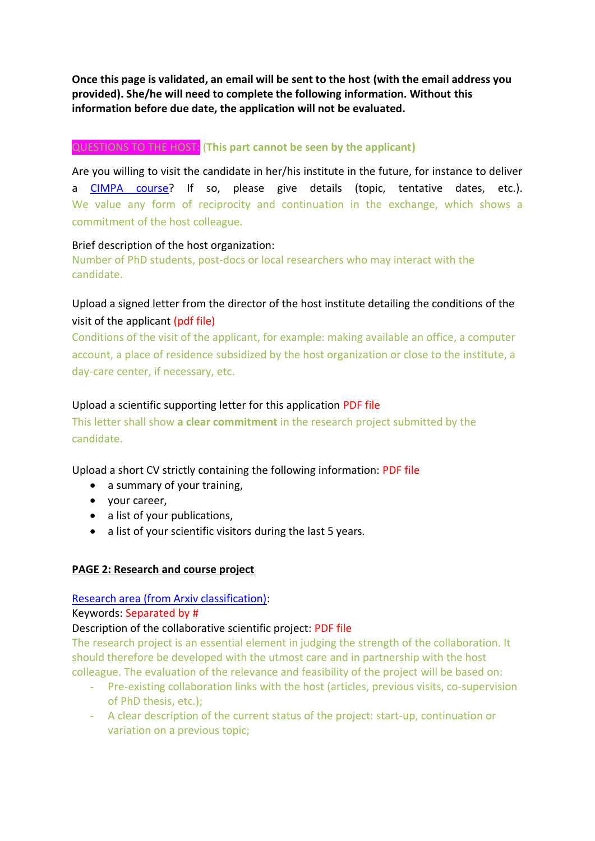**Once this page is validated, an email will be sent to the host (with the email address you provided). She/he will need to complete the following information. Without this information before due date, the application will not be evaluated.**

# QUESTIONS TO THE HOST: (**This part cannot be seen by the applicant)**

Are you willing to visit the candidate in her/his institute in the future, for instance to deliver a [CIMPA course?](https://www.cimpa.info/en/node/50) If so, please give details (topic, tentative dates, etc.). We value any form of reciprocity and continuation in the exchange, which shows a commitment of the host colleague.

## Brief description of the host organization:

Number of PhD students, post-docs or local researchers who may interact with the candidate.

# Upload a signed letter from the director of the host institute detailing the conditions of the visit of the applicant (pdf file)

Conditions of the visit of the applicant, for example: making available an office, a computer account, a place of residence subsidized by the host organization or close to the institute, a day-care center, if necessary, etc.

## Upload a scientific supporting letter for this application PDF file

This letter shall show **a clear commitment** in the research project submitted by the candidate.

Upload a short CV strictly containing the following information: PDF file

- a summary of your training,
- your career,
- a list of your publications,
- a list of your scientific visitors during the last 5 years.

## **PAGE 2: Research and course project**

## [Research area](https://arxiv.org/) (from Arxiv classification):

## Keywords: Separated by #

## Description of the collaborative scientific project: PDF file

The research project is an essential element in judging the strength of the collaboration. It should therefore be developed with the utmost care and in partnership with the host colleague. The evaluation of the relevance and feasibility of the project will be based on:

- Pre-existing collaboration links with the host (articles, previous visits, co-supervision of PhD thesis, etc.);
- A clear description of the current status of the project: start-up, continuation or variation on a previous topic;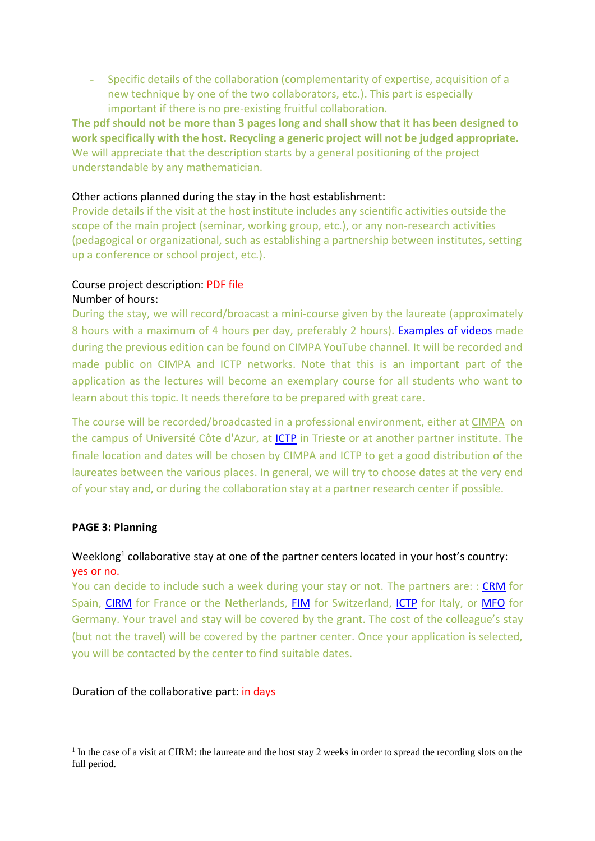- Specific details of the collaboration (complementarity of expertise, acquisition of a new technique by one of the two collaborators, etc.). This part is especially important if there is no pre-existing fruitful collaboration.

**The pdf should not be more than 3 pages long and shall show that it has been designed to work specifically with the host. Recycling a generic project will not be judged appropriate.** We will appreciate that the description starts by a general positioning of the project understandable by any mathematician.

### Other actions planned during the stay in the host establishment:

Provide details if the visit at the host institute includes any scientific activities outside the scope of the main project (seminar, working group, etc.), or any non-research activities (pedagogical or organizational, such as establishing a partnership between institutes, setting up a conference or school project, etc.).

#### Course project description: PDF file Number of hours:

During the stay, we will record/broacast a mini-course given by the laureate (approximately 8 hours with a maximum of 4 hours per day, preferably 2 hours). [Examples of videos](https://youtube.com/playlist?list=PLLxG_np9o-2eO3dMjdacaEHECN4_UPjjK) made during the previous edition can be found on CIMPA YouTube channel. It will be recorded and made public on CIMPA and ICTP networks. Note that this is an important part of the application as the lectures will become an exemplary course for all students who want to learn about this topic. It needs therefore to be prepared with great care.

The course will be recorded/broadcasted in a professional environment, either at [CIMPA](https://univ-cotedazur.fr/visite-des-campus/campus-valrose/campus-valrose-j) on the campus of Université Côte d'Azur, at *ICTP* in Trieste or at another partner institute. The finale location and dates will be chosen by CIMPA and ICTP to get a good distribution of the laureates between the various places. In general, we will try to choose dates at the very end of your stay and, or during the collaboration stay at a partner research center if possible.

### **PAGE 3: Planning**

## Weeklong<sup>1</sup> collaborative stay at one of the partner centers located in your host's country: yes or no.

You can decide to include such a week during your stay or not. The partners are: : [CRM](https://www.crm.cat/) for Spain, [CIRM](https://www.cirm-math.fr/) for France or the Netherlands, [FIM](https://math.ethz.ch/fim) for Switzerland, [ICTP](https://www.ictp.it/) for Italy, or [MFO](https://www.mfo.de/) for Germany. Your travel and stay will be covered by the grant. The cost of the colleague's stay (but not the travel) will be covered by the partner center. Once your application is selected, you will be contacted by the center to find suitable dates.

#### Duration of the collaborative part: in days

<sup>&</sup>lt;sup>1</sup> In the case of a visit at CIRM: the laureate and the host stay 2 weeks in order to spread the recording slots on the full period.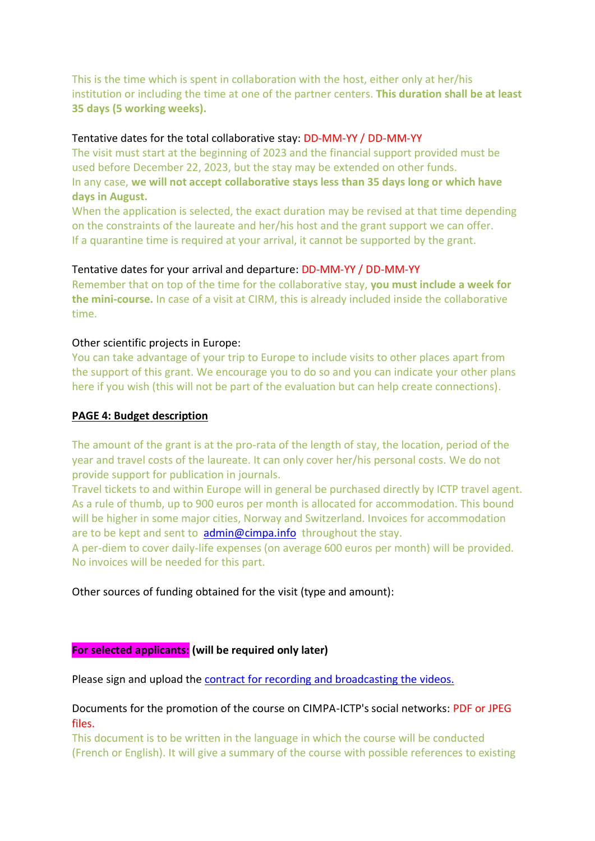This is the time which is spent in collaboration with the host, either only at her/his institution or including the time at one of the partner centers. **This duration shall be at least 35 days (5 working weeks).**

### Tentative dates for the total collaborative stay: DD-MM-YY / DD-MM-YY

The visit must start at the beginning of 2023 and the financial support provided must be used before December 22, 2023, but the stay may be extended on other funds. In any case, **we will not accept collaborative stays less than 35 days long or which have days in August.**

When the application is selected, the exact duration may be revised at that time depending on the constraints of the laureate and her/his host and the grant support we can offer. If a quarantine time is required at your arrival, it cannot be supported by the grant.

### Tentative dates for your arrival and departure: DD-MM-YY / DD-MM-YY

Remember that on top of the time for the collaborative stay, **you must include a week for the mini-course.** In case of a visit at CIRM, this is already included inside the collaborative time.

#### Other scientific projects in Europe:

You can take advantage of your trip to Europe to include visits to other places apart from the support of this grant. We encourage you to do so and you can indicate your other plans here if you wish (this will not be part of the evaluation but can help create connections).

### **PAGE 4: Budget description**

The amount of the grant is at the pro-rata of the length of stay, the location, period of the year and travel costs of the laureate. It can only cover her/his personal costs. We do not provide support for publication in journals.

Travel tickets to and within Europe will in general be purchased directly by ICTP travel agent. As a rule of thumb, up to 900 euros per month is allocated for accommodation. This bound will be higher in some major cities, Norway and Switzerland. Invoices for accommodation are to be kept and sent to  $\alpha$  [admin@cimpa.info](mailto:admin@cimpa.info) throughout the stay.

A per-diem to cover daily-life expenses (on average 600 euros per month) will be provided. No invoices will be needed for this part.

Other sources of funding obtained for the visit (type and amount):

### **For selected applicants: (will be required only later)**

Please sign and upload th[e contract for recording and broadcasting the videos.](https://www.cimpa.info/sites/default/files/contrat-videos-fr.docx)

### Documents for the promotion of the course on CIMPA-ICTP's social networks: PDF or JPEG files.

This document is to be written in the language in which the course will be conducted (French or English). It will give a summary of the course with possible references to existing